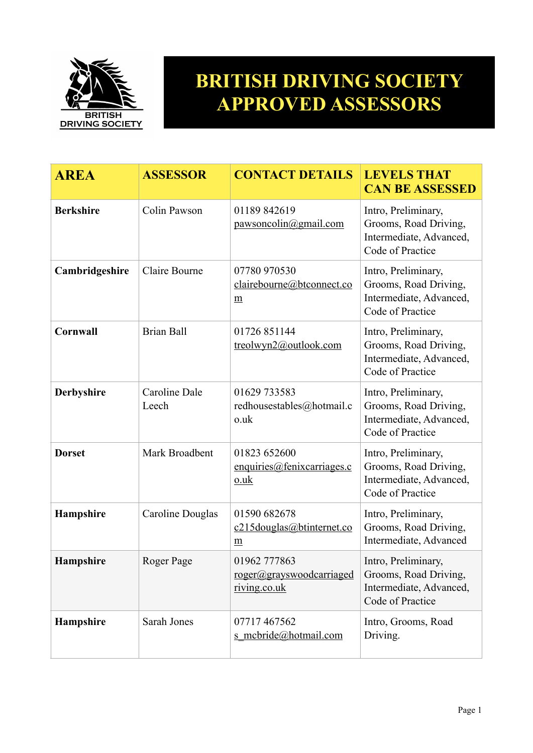

## **BRITISH DRIVING SOCIETY APPROVED ASSESSORS**

| <b>AREA</b>       | <b>ASSESSOR</b>        | <b>CONTACT DETAILS</b>                                       | <b>LEVELS THAT</b><br><b>CAN BE ASSESSED</b>                                                |
|-------------------|------------------------|--------------------------------------------------------------|---------------------------------------------------------------------------------------------|
| <b>Berkshire</b>  | Colin Pawson           | 01189 842619<br>pawsoncolin@gmail.com                        | Intro, Preliminary,<br>Grooms, Road Driving,<br>Intermediate, Advanced,<br>Code of Practice |
| Cambridgeshire    | Claire Bourne          | 07780 970530<br>clairebourne@btconnect.co<br>$\underline{m}$ | Intro, Preliminary,<br>Grooms, Road Driving,<br>Intermediate, Advanced,<br>Code of Practice |
| <b>Cornwall</b>   | <b>Brian Ball</b>      | 01726 851144<br>treolwyn2@outlook.com                        | Intro, Preliminary,<br>Grooms, Road Driving,<br>Intermediate, Advanced,<br>Code of Practice |
| <b>Derbyshire</b> | Caroline Dale<br>Leech | 01629 733583<br>redhousestables@hotmail.c<br>o.uk            | Intro, Preliminary,<br>Grooms, Road Driving,<br>Intermediate, Advanced,<br>Code of Practice |
| <b>Dorset</b>     | Mark Broadbent         | 01823 652600<br>enquires @fenixcarriages.c<br>$0.$ uk        | Intro, Preliminary,<br>Grooms, Road Driving,<br>Intermediate, Advanced,<br>Code of Practice |
| Hampshire         | Caroline Douglas       | 01590 682678<br>c215douglas@btinternet.co<br>m               | Intro, Preliminary,<br>Grooms, Road Driving,<br>Intermediate, Advanced                      |
| <b>Hampshire</b>  | Roger Page             | 01962 777863<br>roger@grayswoodcarriaged<br>riving.co.uk     | Intro, Preliminary,<br>Grooms, Road Driving,<br>Intermediate, Advanced,<br>Code of Practice |
| Hampshire         | Sarah Jones            | 07717467562<br>s mcbride@hotmail.com                         | Intro, Grooms, Road<br>Driving.                                                             |